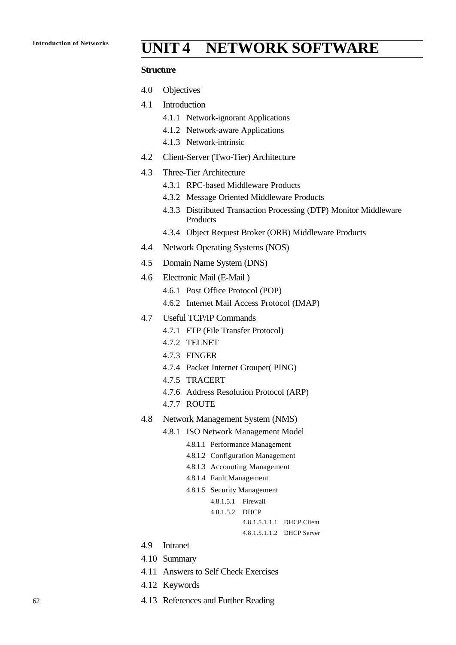# **Introduction of Networks UNIT 4 NETWORK SOFTWARE**

#### **Structure**

- 4.0 Objectives
- 4.1 Introduction
	- 4.1.1 Network-ignorant Applications
	- 4.1.2 Network-aware Applications
	- 4.1.3 Network-intrinsic
- 4.2 Client-Server (Two-Tier) Architecture
- 4.3 Three-Tier Architecture
	- 4.3.1 RPC-based Middleware Products
	- 4.3.2 Message Oriented Middleware Products
	- 4.3.3 Distributed Transaction Processing (DTP) Monitor Middleware Products
	- 4.3.4 Object Request Broker (ORB) Middleware Products
- 4.4 Network Operating Systems (NOS)
- 4.5 Domain Name System (DNS)
- 4.6 Electronic Mail (E-Mail )
	- 4.6.1 Post Office Protocol (POP)
	- 4.6.2 Internet Mail Access Protocol (IMAP)
- 4.7 Useful TCP/IP Commands
	- 4.7.1 FTP (File Transfer Protocol)
	- 4.7.2 TELNET
	- 4.7.3 FINGER
	- 4.7.4 Packet Internet Grouper( PING)
	- 4.7.5 TRACERT
	- 4.7.6 Address Resolution Protocol (ARP)
	- 4.7.7 ROUTE
- 4.8 Network Management System (NMS)
	- 4.8.1 ISO Network Management Model
		- 4.8.1.1 Performance Management
		- 4.8.1.2 Configuration Management
		- 4.8.1.3 Accounting Management
		- 4.8.1.4 Fault Management
		- 4.8.1.5 Security Management
			- 4.8.1.5.1 Firewall
			- 4.8.1.5.2 DHCP
				- 4.8.1.5.1.1.1 DHCP Client

4.8.1.5.1.1.2 DHCP Server

- 4.9 Intranet
- 4.10 Summary
- 4.11 Answers to Self Check Exercises
- 4.12 Keywords
- 4.13 References and Further Reading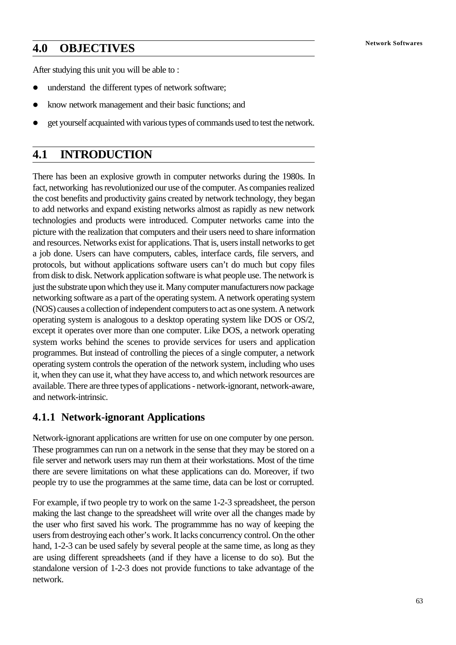# **Network Softwares 4.0 OBJECTIVES**

After studying this unit you will be able to :

- understand the different types of network software;
- know network management and their basic functions; and
- get yourself acquainted with various types of commands used to test the network.

# **4.1 INTRODUCTION**

There has been an explosive growth in computer networks during the 1980s. In fact, networking has revolutionized our use of the computer. As companies realized the cost benefits and productivity gains created by network technology, they began to add networks and expand existing networks almost as rapidly as new network technologies and products were introduced. Computer networks came into the picture with the realization that computers and their users need to share information and resources. Networks exist for applications. That is, users install networks to get a job done. Users can have computers, cables, interface cards, file servers, and protocols, but without applications software users can't do much but copy files from disk to disk. Network application software is what people use. The network is just the substrate upon which they use it. Many computer manufacturers now package networking software as a part of the operating system. A network operating system (NOS) causes a collection of independent computers to act as one system. A network operating system is analogous to a desktop operating system like DOS or OS/2, except it operates over more than one computer. Like DOS, a network operating system works behind the scenes to provide services for users and application programmes. But instead of controlling the pieces of a single computer, a network operating system controls the operation of the network system, including who uses it, when they can use it, what they have access to, and which network resources are available. There are three types of applications - network-ignorant, network-aware, and network-intrinsic.

## **4.1.1 Network-ignorant Applications**

Network-ignorant applications are written for use on one computer by one person. These programmes can run on a network in the sense that they may be stored on a file server and network users may run them at their workstations. Most of the time there are severe limitations on what these applications can do. Moreover, if two people try to use the programmes at the same time, data can be lost or corrupted.

For example, if two people try to work on the same 1-2-3 spreadsheet, the person making the last change to the spreadsheet will write over all the changes made by the user who first saved his work. The programmme has no way of keeping the users from destroying each other's work. It lacks concurrency control. On the other hand, 1-2-3 can be used safely by several people at the same time, as long as they are using different spreadsheets (and if they have a license to do so). But the standalone version of 1-2-3 does not provide functions to take advantage of the network.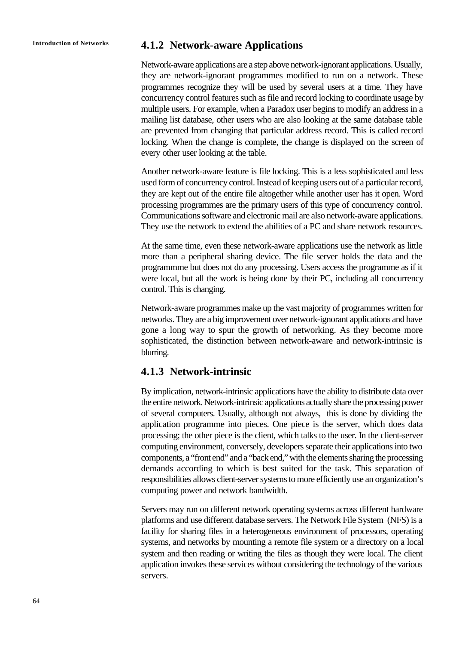#### **Introduction of Networks 4.1.2 Network-aware Applications**

Network-aware applications are a step above network-ignorant applications. Usually, they are network-ignorant programmes modified to run on a network. These programmes recognize they will be used by several users at a time. They have concurrency control features such as file and record locking to coordinate usage by multiple users. For example, when a Paradox user begins to modify an address in a mailing list database, other users who are also looking at the same database table are prevented from changing that particular address record. This is called record locking. When the change is complete, the change is displayed on the screen of every other user looking at the table.

Another network-aware feature is file locking. This is a less sophisticated and less used form of concurrency control. Instead of keeping users out of a particular record, they are kept out of the entire file altogether while another user has it open. Word processing programmes are the primary users of this type of concurrency control. Communications software and electronic mail are also network-aware applications. They use the network to extend the abilities of a PC and share network resources.

At the same time, even these network-aware applications use the network as little more than a peripheral sharing device. The file server holds the data and the programmme but does not do any processing. Users access the programme as if it were local, but all the work is being done by their PC, including all concurrency control. This is changing.

Network-aware programmes make up the vast majority of programmes written for networks. They are a big improvement over network-ignorant applications and have gone a long way to spur the growth of networking. As they become more sophisticated, the distinction between network-aware and network-intrinsic is blurring.

#### **4.1.3 Network-intrinsic**

By implication, network-intrinsic applications have the ability to distribute data over the entire network. Network-intrinsic applications actually share the processing power of several computers. Usually, although not always, this is done by dividing the application programme into pieces. One piece is the server, which does data processing; the other piece is the client, which talks to the user. In the client-server computing environment, conversely, developers separate their applications into two components, a "front end" and a "back end," with the elements sharing the processing demands according to which is best suited for the task. This separation of responsibilities allows client-server systems to more efficiently use an organization's computing power and network bandwidth.

Servers may run on different network operating systems across different hardware platforms and use different database servers. The Network File System (NFS) is a facility for sharing files in a heterogeneous environment of processors, operating systems, and networks by mounting a remote file system or a directory on a local system and then reading or writing the files as though they were local. The client application invokes these services without considering the technology of the various servers.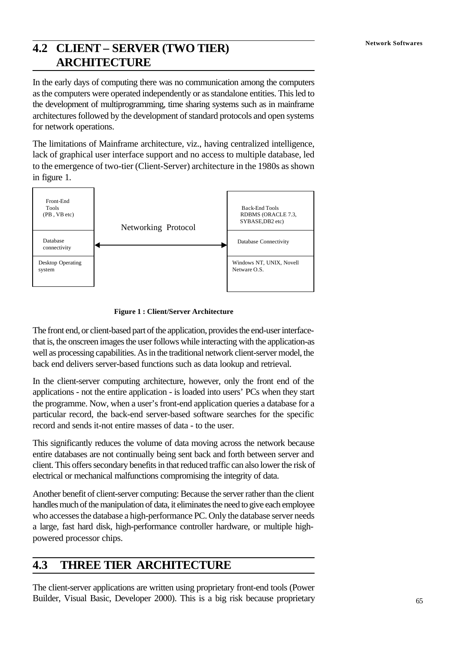# **Network Softwares 4.2 CLIENT – SERVER (TWO TIER) ARCHITECTURE**

In the early days of computing there was no communication among the computers as the computers were operated independently or as standalone entities. This led to the development of multiprogramming, time sharing systems such as in mainframe architectures followed by the development of standard protocols and open systems for network operations.

The limitations of Mainframe architecture, viz., having centralized intelligence, lack of graphical user interface support and no access to multiple database, led to the emergence of two-tier (Client-Server) architecture in the 1980s as shown in figure 1.



**Figure 1 : Client/Server Architecture**

The front end, or client-based part of the application, provides the end-user interfacethat is, the onscreen images the user follows while interacting with the application-as well as processing capabilities. As in the traditional network client-server model, the back end delivers server-based functions such as data lookup and retrieval.

In the client-server computing architecture, however, only the front end of the applications - not the entire application - is loaded into users' PCs when they start the programme. Now, when a user's front-end application queries a database for a particular record, the back-end server-based software searches for the specific record and sends it-not entire masses of data - to the user.

This significantly reduces the volume of data moving across the network because entire databases are not continually being sent back and forth between server and client. This offers secondary benefits in that reduced traffic can also lower the risk of electrical or mechanical malfunctions compromising the integrity of data.

Another benefit of client-server computing: Because the server rather than the client handles much of the manipulation of data, it eliminates the need to give each employee who accesses the database a high-performance PC. Only the database server needs a large, fast hard disk, high-performance controller hardware, or multiple highpowered processor chips.

# **4.3 THREE TIER ARCHITECTURE**

The client-server applications are written using proprietary front-end tools (Power Builder, Visual Basic, Developer 2000). This is a big risk because proprietary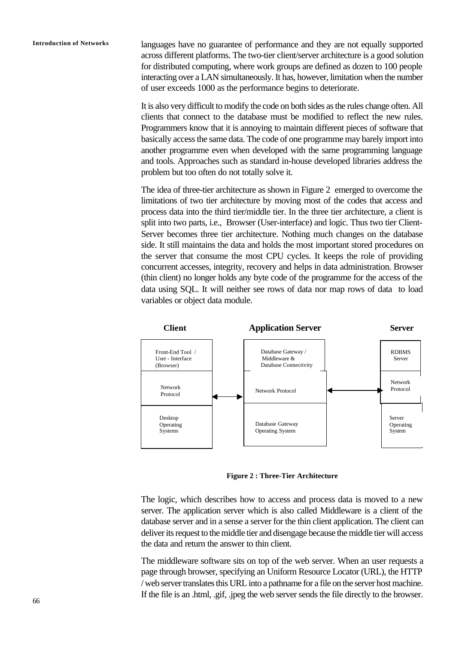**Introduction of Networks** languages have no guarantee of performance and they are not equally supported across different platforms. The two-tier client/server architecture is a good solution for distributed computing, where work groups are defined as dozen to 100 people interacting over a LAN simultaneously. It has, however, limitation when the number of user exceeds 1000 as the performance begins to deteriorate.

> It is also very difficult to modify the code on both sides as the rules change often. All clients that connect to the database must be modified to reflect the new rules. Programmers know that it is annoying to maintain different pieces of software that basically access the same data. The code of one programme may barely import into another programme even when developed with the same programming language and tools. Approaches such as standard in-house developed libraries address the problem but too often do not totally solve it.

> The idea of three-tier architecture as shown in Figure 2 emerged to overcome the limitations of two tier architecture by moving most of the codes that access and process data into the third tier/middle tier. In the three tier architecture, a client is split into two parts, i.e., Browser (User-interface) and logic. Thus two tier Client-Server becomes three tier architecture. Nothing much changes on the database side. It still maintains the data and holds the most important stored procedures on the server that consume the most CPU cycles. It keeps the role of providing concurrent accesses, integrity, recovery and helps in data administration. Browser (thin client) no longer holds any byte code of the programme for the access of the data using SQL. It will neither see rows of data nor map rows of data to load variables or object data module.



**Figure 2 : Three-Tier Architecture**

The logic, which describes how to access and process data is moved to a new server. The application server which is also called Middleware is a client of the database server and in a sense a server for the thin client application. The client can deliver its request to the middle tier and disengage because the middle tier will access the data and return the answer to thin client.

The middleware software sits on top of the web server. When an user requests a page through browser, specifying an Uniform Resource Locator (URL), the HTTP / web server translates this URL into a pathname for a file on the server host machine. If the file is an .html, .gif, .jpeg the web server sends the file directly to the browser.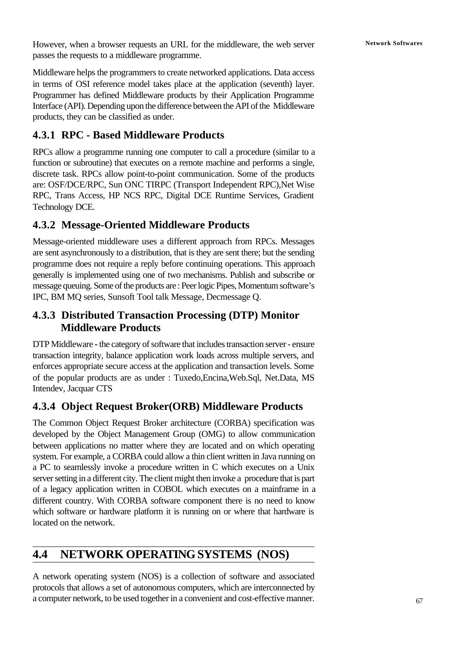However, when a browser requests an URL for the middleware, the web server **Network Softwares** passes the requests to a middleware programme.

Middleware helps the programmers to create networked applications. Data access in terms of OSI reference model takes place at the application (seventh) layer. Programmer has defined Middleware products by their Application Programme Interface (API). Depending upon the difference between the API of the Middleware products, they can be classified as under.

## **4.3.1 RPC - Based Middleware Products**

RPCs allow a programme running one computer to call a procedure (similar to a function or subroutine) that executes on a remote machine and performs a single, discrete task. RPCs allow point-to-point communication. Some of the products are: OSF/DCE/RPC, Sun ONC TIRPC (Transport Independent RPC), Net Wise RPC, Trans Access, HP NCS RPC, Digital DCE Runtime Services, Gradient Technology DCE.

#### **4.3.2 Message-Oriented Middleware Products**

Message-oriented middleware uses a different approach from RPCs. Messages are sent asynchronously to a distribution, that is they are sent there; but the sending programme does not require a reply before continuing operations. This approach generally is implemented using one of two mechanisms. Publish and subscribe or message queuing. Some of the products are : Peer logic Pipes, Momentum software's IPC, BM MQ series, Sunsoft Tool talk Message, Decmessage Q.

## **4.3.3 Distributed Transaction Processing (DTP) Monitor Middleware Products**

DTP Middleware **-** the category of software that includes transaction server - ensure transaction integrity, balance application work loads across multiple servers, and enforces appropriate secure access at the application and transaction levels. Some of the popular products are as under : Tuxedo,Encina,Web.Sql, Net.Data, MS Intendev, Jacquar CTS

### **4.3.4 Object Request Broker(ORB) Middleware Products**

The Common Object Request Broker architecture (CORBA) specification was developed by the Object Management Group (OMG) to allow communication between applications no matter where they are located and on which operating system. For example, a CORBA could allow a thin client written in Java running on a PC to seamlessly invoke a procedure written in C which executes on a Unix server setting in a different city. The client might then invoke a procedure that is part of a legacy application written in COBOL which executes on a mainframe in a different country. With CORBA software component there is no need to know which software or hardware platform it is running on or where that hardware is located on the network.

# **4.4 NETWORK OPERATING SYSTEMS (NOS)**

A network operating system (NOS) is a collection of software and associated protocols that allows a set of autonomous computers, which are interconnected by a computer network, to be used together in a convenient and cost-effective manner.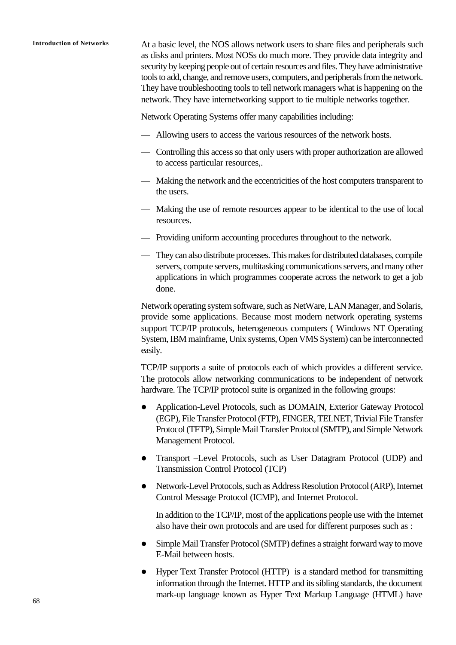**Introduction of Networks** At a basic level, the NOS allows network users to share files and peripherals such as disks and printers. Most NOSs do much more. They provide data integrity and security by keeping people out of certain resources and files. They have administrative tools to add, change, and remove users, computers, and peripherals from the network. They have troubleshooting tools to tell network managers what is happening on the network. They have internetworking support to tie multiple networks together.

Network Operating Systems offer many capabilities including:

- Allowing users to access the various resources of the network hosts.
- Controlling this access so that only users with proper authorization are allowed to access particular resources,.
- Making the network and the eccentricities of the host computers transparent to the users.
- Making the use of remote resources appear to be identical to the use of local resources.
- Providing uniform accounting procedures throughout to the network.
- They can also distribute processes. This makes for distributed databases, compile servers, compute servers, multitasking communications servers, and many other applications in which programmes cooperate across the network to get a job done.

Network operating system software, such as NetWare, LAN Manager, and Solaris, provide some applications. Because most modern network operating systems support TCP/IP protocols, heterogeneous computers ( Windows NT Operating System, IBM mainframe, Unix systems, Open VMS System) can be interconnected easily.

TCP/IP supports a suite of protocols each of which provides a different service. The protocols allow networking communications to be independent of network hardware. The TCP/IP protocol suite is organized in the following groups:

- Application-Level Protocols, such as DOMAIN, Exterior Gateway Protocol (EGP), File Transfer Protocol (FTP), FINGER, TELNET, Trivial File Transfer Protocol (TFTP), Simple Mail Transfer Protocol (SMTP), and Simple Network Management Protocol.
- Transport –Level Protocols, such as User Datagram Protocol (UDP) and Transmission Control Protocol (TCP)
- **•** Network-Level Protocols, such as Address Resolution Protocol (ARP), Internet Control Message Protocol (ICMP), and Internet Protocol.

In addition to the TCP/IP, most of the applications people use with the Internet also have their own protocols and are used for different purposes such as :

- Simple Mail Transfer Protocol (SMTP) defines a straight forward way to move E-Mail between hosts.
- Hyper Text Transfer Protocol (HTTP) is a standard method for transmitting information through the Internet. HTTP and its sibling standards, the document mark-up language known as Hyper Text Markup Language (HTML) have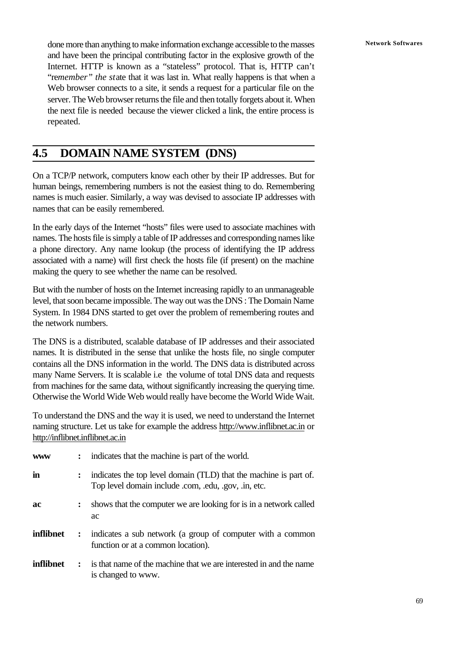done more than anything to make information exchange accessible to the masses **Network Softwares** and have been the principal contributing factor in the explosive growth of the Internet. HTTP is known as a "stateless" protocol. That is, HTTP can't "re*member" the st*ate that it was last in. What really happens is that when a Web browser connects to a site, it sends a request for a particular file on the server. The Web browser returns the file and then totally forgets about it. When the next file is needed because the viewer clicked a link, the entire process is repeated.

## **4.5 DOMAIN NAME SYSTEM (DNS)**

On a TCP/P network, computers know each other by their IP addresses. But for human beings, remembering numbers is not the easiest thing to do. Remembering names is much easier. Similarly, a way was devised to associate IP addresses with names that can be easily remembered.

In the early days of the Internet "hosts" files were used to associate machines with names. The hosts file is simply a table of IP addresses and corresponding names like a phone directory. Any name lookup (the process of identifying the IP address associated with a name) will first check the hosts file (if present) on the machine making the query to see whether the name can be resolved.

But with the number of hosts on the Internet increasing rapidly to an unmanageable level, that soon became impossible. The way out was the DNS : The Domain Name System. In 1984 DNS started to get over the problem of remembering routes and the network numbers.

The DNS is a distributed, scalable database of IP addresses and their associated names. It is distributed in the sense that unlike the hosts file, no single computer contains all the DNS information in the world. The DNS data is distributed across many Name Servers. It is scalable i.e the volume of total DNS data and requests from machines for the same data, without significantly increasing the querying time. Otherwise the World Wide Web would really have become the World Wide Wait.

To understand the DNS and the way it is used, we need to understand the Internet naming structure. Let us take for example the address http://www.inflibnet.ac.in or http://inflibnet.inflibnet.ac.in

| <b>WWW</b> |                | : indicates that the machine is part of the world.                                                                        |  |
|------------|----------------|---------------------------------------------------------------------------------------------------------------------------|--|
| in         | $\ddot{\cdot}$ | indicates the top level domain (TLD) that the machine is part of.<br>Top level domain include .com, .edu, .gov, .in, etc. |  |
| ac         | $\ddot{\cdot}$ | shows that the computer we are looking for is in a network called<br>ac                                                   |  |
| inflibnet  |                | : indicates a sub network (a group of computer with a common<br>function or at a common location).                        |  |
| inflibnet  |                | : is that name of the machine that we are interested in and the name<br>is changed to www.                                |  |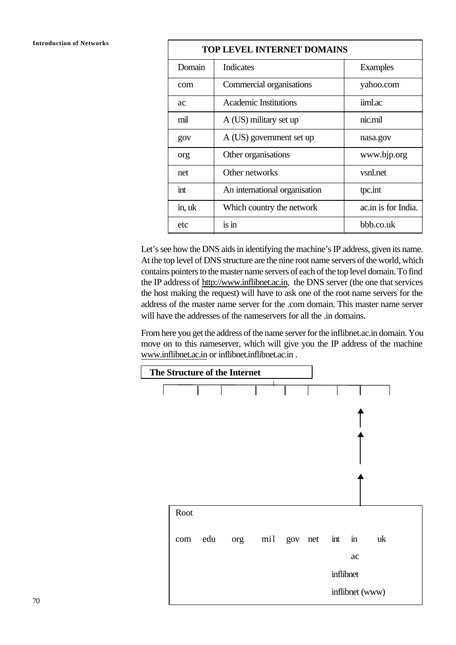$\mathbf{I}$ 

| <b>TOP LEVEL INTERNET DOMAINS</b> |                               |                     |  |
|-----------------------------------|-------------------------------|---------------------|--|
| Domain                            | Indicates                     | <b>Examples</b>     |  |
| com                               | Commercial organisations      | yahoo.com           |  |
| ac                                | <b>Academic Institutions</b>  | iiml.ac             |  |
| mil                               | A (US) military set up        | nic.mil             |  |
| gov                               | A (US) government set up      | nasa.gov            |  |
| org                               | Other organisations           | www.bjp.org         |  |
| net                               | Other networks                | vsnl.net            |  |
| int                               | An international organisation | tpc.int             |  |
| in, uk                            | Which country the network     | ac.in is for India. |  |
| etc                               | is in                         | bbb.co.uk           |  |

#### Let's see how the DNS aids in identifying the machine's IP address, given its name. At the top level of DNS structure are the nine root name servers of the world, which contains pointers to the master name servers of each of the top level domain. To find the IP address of http://www.inflibnet.ac.in, the DNS server (the one that services the host making the request) will have to ask one of the root name servers for the address of the master name server for the .com domain. This master name server will have the addresses of the nameservers for all the .in domains.

From here you get the address of the name server for the inflibnet.ac.in domain. You move on to this nameserver, which will give you the IP address of the machine www.inflibnet.ac.in or inflibnet.inflibnet.ac.in .

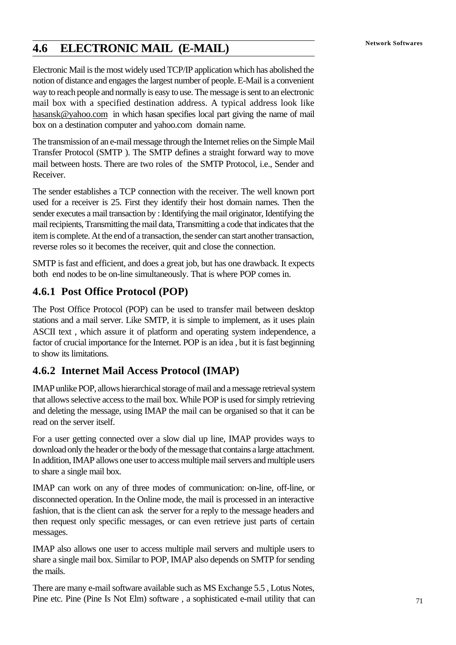# **Network Softwares 4.6 ELECTRONIC MAIL (E-MAIL)**

Electronic Mail is the most widely used TCP/IP application which has abolished the notion of distance and engages the largest number of people. E-Mail is a convenient way to reach people and normally is easy to use. The message is sent to an electronic mail box with a specified destination address. A typical address look like hasansk@yahoo.com in which hasan specifies local part giving the name of mail box on a destination computer and yahoo.com domain name.

The transmission of an e-mail message through the Internet relies on the Simple Mail Transfer Protocol (SMTP ). The SMTP defines a straight forward way to move mail between hosts. There are two roles of the SMTP Protocol, i.e., Sender and Receiver.

The sender establishes a TCP connection with the receiver. The well known port used for a receiver is 25. First they identify their host domain names. Then the sender executes a mail transaction by : Identifying the mail originator, Identifying the mail recipients, Transmitting the mail data, Transmitting a code that indicates that the item is complete. At the end of a transaction, the sender can start another transaction, reverse roles so it becomes the receiver, quit and close the connection.

SMTP is fast and efficient, and does a great job, but has one drawback. It expects both end nodes to be on-line simultaneously. That is where POP comes in.

## **4.6.1 Post Office Protocol (POP)**

The Post Office Protocol (POP) can be used to transfer mail between desktop stations and a mail server. Like SMTP, it is simple to implement, as it uses plain ASCII text , which assure it of platform and operating system independence, a factor of crucial importance for the Internet. POP is an idea , but it is fast beginning to show its limitations.

## **4.6.2 Internet Mail Access Protocol (IMAP)**

IMAP unlike POP, allows hierarchical storage of mail and a message retrieval system that allows selective access to the mail box. While POP is used for simply retrieving and deleting the message, using IMAP the mail can be organised so that it can be read on the server itself.

For a user getting connected over a slow dial up line, IMAP provides ways to download only the header or the body of the message that contains a large attachment. In addition, IMAP allows one user to access multiple mail servers and multiple users to share a single mail box.

IMAP can work on any of three modes of communication: on-line, off-line, or disconnected operation. In the Online mode, the mail is processed in an interactive fashion, that is the client can ask the server for a reply to the message headers and then request only specific messages, or can even retrieve just parts of certain messages.

IMAP also allows one user to access multiple mail servers and multiple users to share a single mail box. Similar to POP, IMAP also depends on SMTP for sending the mails.

There are many e-mail software available such as MS Exchange 5.5 , Lotus Notes, Pine etc. Pine (Pine Is Not Elm) software , a sophisticated e-mail utility that can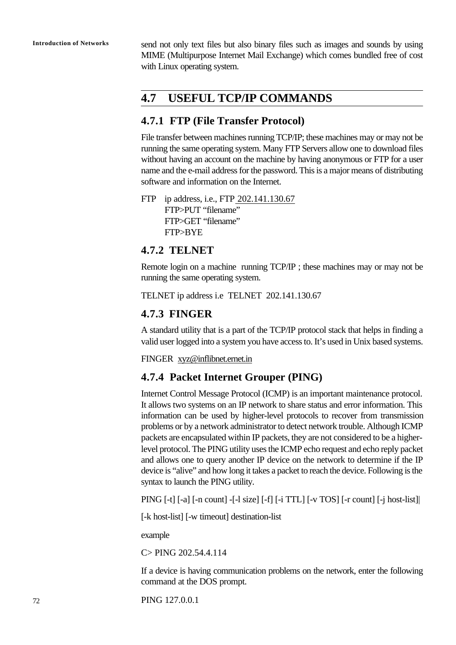**Introduction of Networks** send not only text files but also binary files such as images and sounds by using MIME (Multipurpose Internet Mail Exchange) which comes bundled free of cost with Linux operating system.

## **4.7 USEFUL TCP/IP COMMANDS**

#### **4.7.1 FTP (File Transfer Protocol)**

File transfer between machines running TCP/IP; these machines may or may not be running the same operating system. Many FTP Servers allow one to download files without having an account on the machine by having anonymous or FTP for a user name and the e-mail address for the password. This is a major means of distributing software and information on the Internet.

FTP ip address, i.e., FTP 202.141.130.67 FTP>PUT "filename" FTP>GET "filename" FTP>BYE

#### **4.7.2 TELNET**

Remote login on a machine running TCP/IP ; these machines may or may not be running the same operating system.

TELNET ip address i.e TELNET 202.141.130.67

### **4.7.3 FINGER**

A standard utility that is a part of the TCP/IP protocol stack that helps in finding a valid user logged into a system you have access to. It's used in Unix based systems.

FINGER xyz@inflibnet.ernet.in

### **4.7.4 Packet Internet Grouper (PING)**

Internet Control Message Protocol (ICMP) is an important maintenance protocol. It allows two systems on an IP network to share status and error information. This information can be used by higher-level protocols to recover from transmission problems or by a network administrator to detect network trouble. Although ICMP packets are encapsulated within IP packets, they are not considered to be a higherlevel protocol. The PING utility uses the ICMP echo request and echo reply packet and allows one to query another IP device on the network to determine if the IP device is "alive" and how long it takes a packet to reach the device. Following is the syntax to launch the PING utility.

PING [-t] [-a] [-n count] -[-l size] [-f] [-i TTL] [-v TOS] [-r count] [-j host-list]|

[-k host-list] [-w timeout] destination-list

example

C> PING 202.54.4.114

If a device is having communication problems on the network, enter the following command at the DOS prompt.

PING 127.0.0.1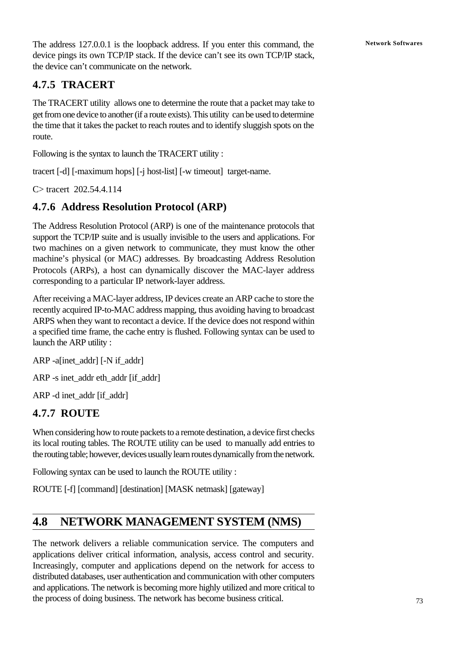The address 127.0.0.1 is the loopback address. If you enter this command, the **Network Softwares** device pings its own TCP/IP stack. If the device can't see its own TCP/IP stack, the device can't communicate on the network.

## **4.7.5 TRACERT**

The TRACERT utility allows one to determine the route that a packet may take to get from one device to another (if a route exists). This utility can be used to determine the time that it takes the packet to reach routes and to identify sluggish spots on the route.

Following is the syntax to launch the TRACERT utility :

tracert [-d] [-maximum hops] [-j host-list] [-w timeout] target-name.

C> tracert 202.54.4.114

### **4.7.6 Address Resolution Protocol (ARP)**

The Address Resolution Protocol (ARP) is one of the maintenance protocols that support the TCP/IP suite and is usually invisible to the users and applications. For two machines on a given network to communicate, they must know the other machine's physical (or MAC) addresses. By broadcasting Address Resolution Protocols (ARPs), a host can dynamically discover the MAC-layer address corresponding to a particular IP network-layer address.

After receiving a MAC-layer address, IP devices create an ARP cache to store the recently acquired IP-to-MAC address mapping, thus avoiding having to broadcast ARPS when they want to recontact a device. If the device does not respond within a specified time frame, the cache entry is flushed. Following syntax can be used to launch the ARP utility :

ARP -alinet\_addr] [-N if\_addr]

ARP -s inet\_addr eth\_addr [if\_addr]

ARP -d inet\_addr [if\_addr]

#### **4.7.7 ROUTE**

When considering how to route packets to a remote destination, a device first checks its local routing tables. The ROUTE utility can be used to manually add entries to the routing table; however, devices usually learn routes dynamically from the network.

Following syntax can be used to launch the ROUTE utility :

ROUTE [-f] [command] [destination] [MASK netmask] [gateway]

# **4.8 NETWORK MANAGEMENT SYSTEM (NMS)**

The network delivers a reliable communication service. The computers and applications deliver critical information, analysis, access control and security. Increasingly, computer and applications depend on the network for access to distributed databases, user authentication and communication with other computers and applications. The network is becoming more highly utilized and more critical to the process of doing business. The network has become business critical.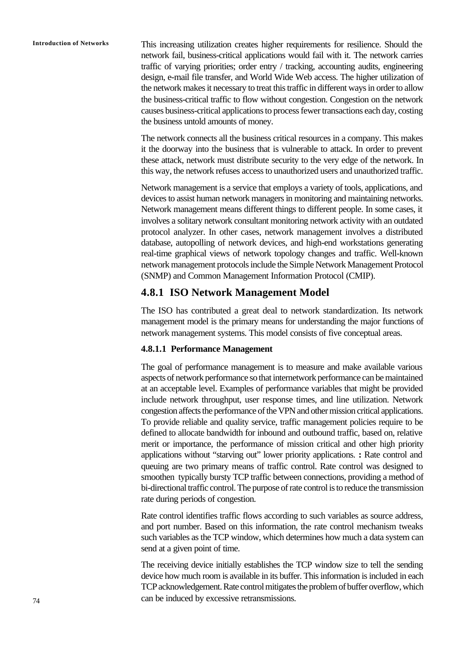**Introduction of Networks** This increasing utilization creates higher requirements for resilience. Should the network fail, business-critical applications would fail with it. The network carries traffic of varying priorities; order entry / tracking, accounting audits, engineering design, e-mail file transfer, and World Wide Web access. The higher utilization of the network makes it necessary to treat this traffic in different ways in order to allow the business-critical traffic to flow without congestion. Congestion on the network causes business-critical applications to process fewer transactions each day, costing the business untold amounts of money.

> The network connects all the business critical resources in a company. This makes it the doorway into the business that is vulnerable to attack. In order to prevent these attack, network must distribute security to the very edge of the network. In this way, the network refuses access to unauthorized users and unauthorized traffic.

> Network management is a service that employs a variety of tools, applications, and devices to assist human network managers in monitoring and maintaining networks. Network management means different things to different people. In some cases, it involves a solitary network consultant monitoring network activity with an outdated protocol analyzer. In other cases, network management involves a distributed database, autopolling of network devices, and high-end workstations generating real-time graphical views of network topology changes and traffic. Well-known network management protocols include the Simple Network Management Protocol (SNMP) and Common Management Information Protocol (CMIP).

#### **4.8.1 ISO Network Management Model**

The ISO has contributed a great deal to network standardization. Its network management model is the primary means for understanding the major functions of network management systems. This model consists of five conceptual areas.

#### **4.8.1.1 Performance Management**

The goal of performance management is to measure and make available various aspects of network performance so that internetwork performance can be maintained at an acceptable level. Examples of performance variables that might be provided include network throughput, user response times, and line utilization. Network congestion affects the performance of the VPN and other mission critical applications. To provide reliable and quality service, traffic management policies require to be defined to allocate bandwidth for inbound and outbound traffic, based on, relative merit or importance, the performance of mission critical and other high priority applications without "starving out" lower priority applications. **:** Rate control and queuing are two primary means of traffic control. Rate control was designed to smoothen typically bursty TCP traffic between connections, providing a method of bi-directional traffic control. The purpose of rate control is to reduce the transmission rate during periods of congestion.

Rate control identifies traffic flows according to such variables as source address, and port number. Based on this information, the rate control mechanism tweaks such variables as the TCP window, which determines how much a data system can send at a given point of time.

The receiving device initially establishes the TCP window size to tell the sending device how much room is available in its buffer. This information is included in each TCP acknowledgement. Rate control mitigates the problem of buffer overflow, which can be induced by excessive retransmissions.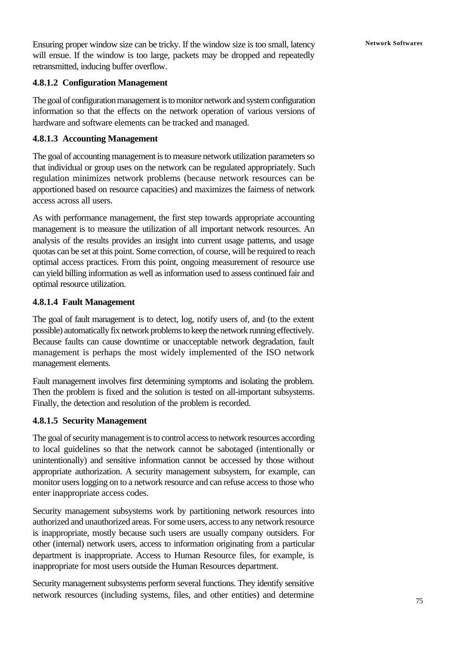Ensuring proper window size can be tricky. If the window size is too small, latency **Network Softwares** will ensue. If the window is too large, packets may be dropped and repeatedly retransmitted, inducing buffer overflow.

#### **4.8.1.2 Configuration Management**

The goal of configuration management is to monitor network and system configuration information so that the effects on the network operation of various versions of hardware and software elements can be tracked and managed.

#### **4.8.1.3 Accounting Management**

The goal of accounting management is to measure network utilization parameters so that individual or group uses on the network can be regulated appropriately. Such regulation minimizes network problems (because network resources can be apportioned based on resource capacities) and maximizes the fairness of network access across all users.

As with performance management, the first step towards appropriate accounting management is to measure the utilization of all important network resources. An analysis of the results provides an insight into current usage patterns, and usage quotas can be set at this point. Some correction, of course, will be required to reach optimal access practices. From this point, ongoing measurement of resource use can yield billing information as well as information used to assess continued fair and optimal resource utilization.

#### **4.8.1.4 Fault Management**

The goal of fault management is to detect, log, notify users of, and (to the extent possible) automatically fix network problems to keep the network running effectively. Because faults can cause downtime or unacceptable network degradation, fault management is perhaps the most widely implemented of the ISO network management elements.

Fault management involves first determining symptoms and isolating the problem. Then the problem is fixed and the solution is tested on all-important subsystems. Finally, the detection and resolution of the problem is recorded.

#### **4.8.1.5 Security Management**

The goal of security management is to control access to network resources according to local guidelines so that the network cannot be sabotaged (intentionally or unintentionally) and sensitive information cannot be accessed by those without appropriate authorization. A security management subsystem, for example, can monitor users logging on to a network resource and can refuse access to those who enter inappropriate access codes.

Security management subsystems work by partitioning network resources into authorized and unauthorized areas. For some users, access to any network resource is inappropriate, mostly because such users are usually company outsiders. For other (internal) network users, access to information originating from a particular department is inappropriate. Access to Human Resource files, for example, is inappropriate for most users outside the Human Resources department.

Security management subsystems perform several functions. They identify sensitive network resources (including systems, files, and other entities) and determine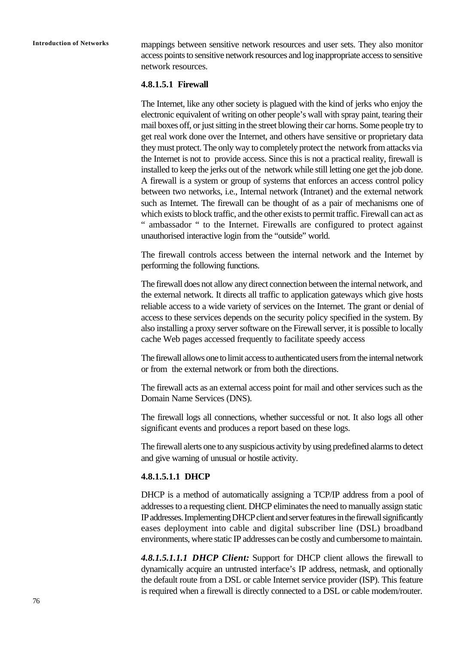**Introduction of Networks** mappings between sensitive network resources and user sets. They also monitor access points to sensitive network resources and log inappropriate access to sensitive network resources.

#### **4.8.1.5.1 Firewall**

The Internet, like any other society is plagued with the kind of jerks who enjoy the electronic equivalent of writing on other people's wall with spray paint, tearing their mail boxes off, or just sitting in the street blowing their car horns. Some people try to get real work done over the Internet, and others have sensitive or proprietary data they must protect. The only way to completely protect the network from attacks via the Internet is not to provide access. Since this is not a practical reality, firewall is installed to keep the jerks out of the network while still letting one get the job done. A firewall is a system or group of systems that enforces an access control policy between two networks, i.e., Internal network (Intranet) and the external network such as Internet. The firewall can be thought of as a pair of mechanisms one of which exists to block traffic, and the other exists to permit traffic. Firewall can act as " ambassador " to the Internet. Firewalls are configured to protect against unauthorised interactive login from the "outside" world.

The firewall controls access between the internal network and the Internet by performing the following functions.

The firewall does not allow any direct connection between the internal network, and the external network. It directs all traffic to application gateways which give hosts reliable access to a wide variety of services on the Internet. The grant or denial of access to these services depends on the security policy specified in the system. By also installing a proxy server software on the Firewall server, it is possible to locally cache Web pages accessed frequently to facilitate speedy access

The firewall allows one to limit access to authenticated users from the internal network or from the external network or from both the directions.

The firewall acts as an external access point for mail and other services such as the Domain Name Services (DNS).

The firewall logs all connections, whether successful or not. It also logs all other significant events and produces a report based on these logs.

The firewall alerts one to any suspicious activity by using predefined alarms to detect and give warning of unusual or hostile activity.

#### **4.8.1.5.1.1 DHCP**

DHCP is a method of automatically assigning a TCP/IP address from a pool of addresses to a requesting client. DHCP eliminates the need to manually assign static IP addresses. Implementing DHCP client and server features in the firewall significantly eases deployment into cable and digital subscriber line (DSL) broadband environments, where static IP addresses can be costly and cumbersome to maintain.

*4.8.1.5.1.1.1 DHCP Client:* Support for DHCP client allows the firewall to dynamically acquire an untrusted interface's IP address, netmask, and optionally the default route from a DSL or cable Internet service provider (ISP). This feature is required when a firewall is directly connected to a DSL or cable modem/router.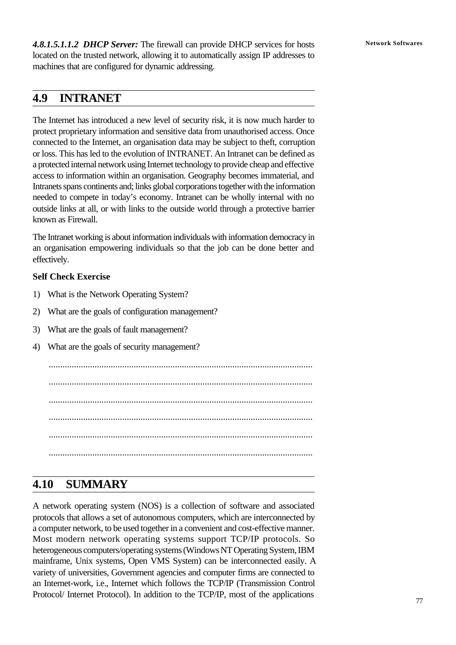*4.8.1.5.1.1.2 DHCP Server:* The firewall can provide DHCP services for hosts **Network Softwares** located on the trusted network, allowing it to automatically assign IP addresses to machines that are configured for dynamic addressing.

## **4.9 INTRANET**

The Internet has introduced a new level of security risk, it is now much harder to protect proprietary information and sensitive data from unauthorised access. Once connected to the Internet, an organisation data may be subject to theft, corruption or loss. This has led to the evolution of INTRANET. An Intranet can be defined as a protected internal network using Internet technology to provide cheap and effective access to information within an organisation. Geography becomes immaterial, and Intranets spans continents and; links global corporations together with the information needed to compete in today's economy. Intranet can be wholly internal with no outside links at all, or with links to the outside world through a protective barrier known as Firewall.

The Intranet working is about information individuals with information democracy in an organisation empowering individuals so that the job can be done better and effectively.

#### **Self Check Exercise**

- 1) What is the Network Operating System?
- 2) What are the goals of configuration management?
- 3) What are the goals of fault management?
- 4) What are the goals of security management?

................................................................................................................... ................................................................................................................... ................................................................................................................... ................................................................................................................... ................................................................................................................... ...................................................................................................................

# **4.10 SUMMARY**

A network operating system (NOS) is a collection of software and associated protocols that allows a set of autonomous computers, which are interconnected by a computer network, to be used together in a convenient and cost-effective manner. Most modern network operating systems support TCP/IP protocols. So heterogeneous computers/operating systems (Windows NT Operating System, IBM mainframe, Unix systems, Open VMS System) can be interconnected easily. A variety of universities, Government agencies and computer firms are connected to an Internet-work, i.e., Internet which follows the TCP/IP (Transmission Control Protocol/ Internet Protocol). In addition to the TCP/IP, most of the applications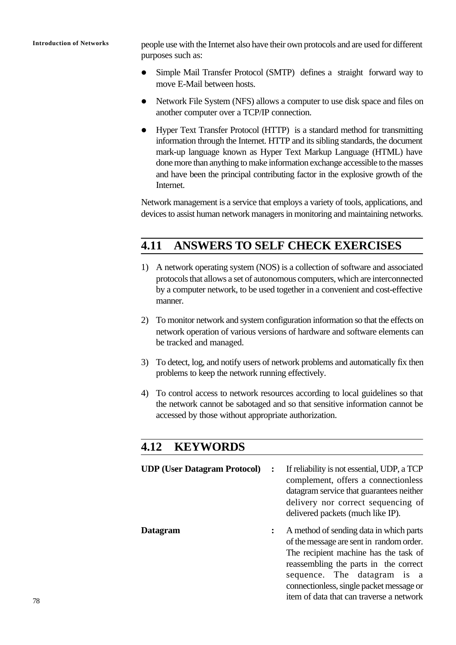**Introduction of Networks** people use with the Internet also have their own protocols and are used for different purposes such as:

- Simple Mail Transfer Protocol (SMTP) defines a straight forward way to move E-Mail between hosts.
- Network File System (NFS) allows a computer to use disk space and files on another computer over a TCP/IP connection.
- Hyper Text Transfer Protocol (HTTP) is a standard method for transmitting information through the Internet. HTTP and its sibling standards, the document mark-up language known as Hyper Text Markup Language (HTML) have done more than anything to make information exchange accessible to the masses and have been the principal contributing factor in the explosive growth of the Internet.

Network management is a service that employs a variety of tools, applications, and devices to assist human network managers in monitoring and maintaining networks.

# **4.11 ANSWERS TO SELF CHECK EXERCISES**

- 1) A network operating system (NOS) is a collection of software and associated protocols that allows a set of autonomous computers, which are interconnected by a computer network, to be used together in a convenient and cost-effective manner.
- 2) To monitor network and system configuration information so that the effects on network operation of various versions of hardware and software elements can be tracked and managed.
- 3) To detect, log, and notify users of network problems and automatically fix then problems to keep the network running effectively.
- 4) To control access to network resources according to local guidelines so that the network cannot be sabotaged and so that sensitive information cannot be accessed by those without appropriate authorization.

# **4.12 KEYWORDS**

**UDP (User Datagram Protocol) :** If reliability is not essential, UDP, a TCP complement, offers a connectionless datagram service that guarantees neither delivery nor correct sequencing of delivered packets (much like IP). **Datagram** : A method of sending data in which parts of the message are sent in random order. The recipient machine has the task of reassembling the parts in the correct sequence. The datagram is a

> connectionless, single packet message or item of data that can traverse a network